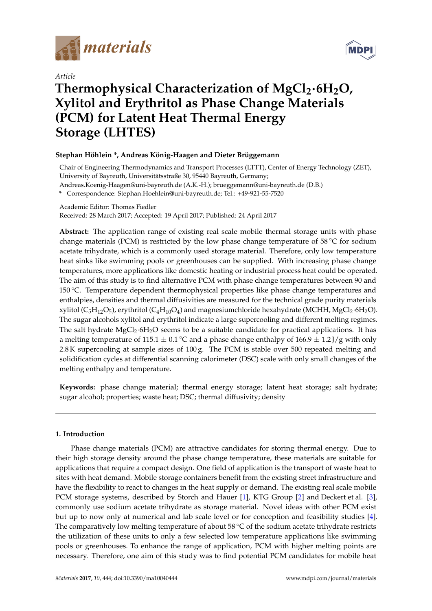

*Article*



# **Thermophysical Characterization of MgCl2**·**6H2O, Xylitol and Erythritol as Phase Change Materials (PCM) for Latent Heat Thermal Energy Storage (LHTES)**

# **Stephan Höhlein \*, Andreas König-Haagen and Dieter Brüggemann**

Chair of Engineering Thermodynamics and Transport Processes (LTTT), Center of Energy Technology (ZET), University of Bayreuth, Universitätsstraße 30, 95440 Bayreuth, Germany;

Andreas.Koenig-Haagen@uni-bayreuth.de (A.K.-H.); brueggemann@uni-bayreuth.de (D.B.)

**\*** Correspondence: Stephan.Hoehlein@uni-bayreuth.de; Tel.: +49-921-55-7520

Academic Editor: Thomas Fiedler

Received: 28 March 2017; Accepted: 19 April 2017; Published: 24 April 2017

**Abstract:** The application range of existing real scale mobile thermal storage units with phase change materials (PCM) is restricted by the low phase change temperature of  $58\,^{\circ}\text{C}$  for sodium acetate trihydrate, which is a commonly used storage material. Therefore, only low temperature heat sinks like swimming pools or greenhouses can be supplied. With increasing phase change temperatures, more applications like domestic heating or industrial process heat could be operated. The aim of this study is to find alternative PCM with phase change temperatures between 90 and 150 ◦C. Temperature dependent thermophysical properties like phase change temperatures and enthalpies, densities and thermal diffusivities are measured for the technical grade purity materials xylitol (C<sub>5</sub>H<sub>12</sub>O<sub>5</sub>), erythritol (C<sub>4</sub>H<sub>10</sub>O<sub>4</sub>) and magnesiumchloride hexahydrate (MCHH, MgCl<sub>2</sub>·6H<sub>2</sub>O). The sugar alcohols xylitol and erythritol indicate a large supercooling and different melting regimes. The salt hydrate MgCl<sub>2</sub>·6H<sub>2</sub>O seems to be a suitable candidate for practical applications. It has a melting temperature of 115.1  $\pm$  0.1 °C and a phase change enthalpy of 166.9  $\pm$  1.2 J/g with only 2.8 K supercooling at sample sizes of 100 g. The PCM is stable over 500 repeated melting and solidification cycles at differential scanning calorimeter (DSC) scale with only small changes of the melting enthalpy and temperature.

**Keywords:** phase change material; thermal energy storage; latent heat storage; salt hydrate; sugar alcohol; properties; waste heat; DSC; thermal diffusivity; density

# **1. Introduction**

Phase change materials (PCM) are attractive candidates for storing thermal energy. Due to their high storage density around the phase change temperature, these materials are suitable for applications that require a compact design. One field of application is the transport of waste heat to sites with heat demand. Mobile storage containers benefit from the existing street infrastructure and have the flexibility to react to changes in the heat supply or demand. The existing real scale mobile PCM storage systems, described by Storch and Hauer [\[1\]](#page-13-0), KTG Group [\[2\]](#page-13-1) and Deckert et al. [\[3\]](#page-13-2), commonly use sodium acetate trihydrate as storage material. Novel ideas with other PCM exist but up to now only at numerical and lab scale level or for conception and feasibility studies [\[4\]](#page-13-3). The comparatively low melting temperature of about 58  $°C$  of the sodium acetate trihydrate restricts the utilization of these units to only a few selected low temperature applications like swimming pools or greenhouses. To enhance the range of application, PCM with higher melting points are necessary. Therefore, one aim of this study was to find potential PCM candidates for mobile heat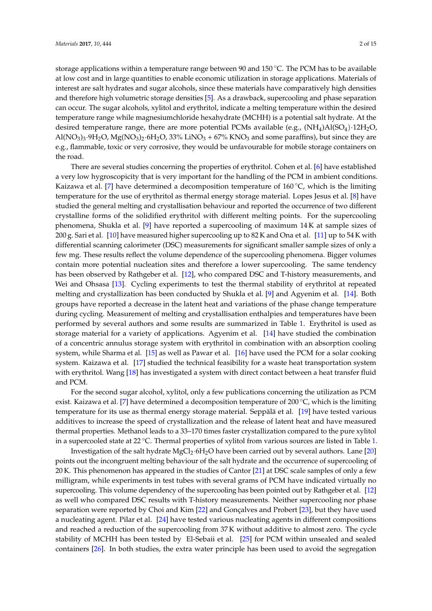storage applications within a temperature range between 90 and 150 °C. The PCM has to be available at low cost and in large quantities to enable economic utilization in storage applications. Materials of interest are salt hydrates and sugar alcohols, since these materials have comparatively high densities and therefore high volumetric storage densities [\[5\]](#page-13-4). As a drawback, supercooling and phase separation can occur. The sugar alcohols, xylitol and erythritol, indicate a melting temperature within the desired temperature range while magnesiumchloride hexahydrate (MCHH) is a potential salt hydrate. At the desired temperature range, there are more potential PCMs available (e.g.,  $(NH_4)Al(SO_4)·12H_2O$ ,  $Al(NO<sub>3</sub>)<sub>3</sub>·9H<sub>2</sub>O, Mg(NO<sub>3</sub>)<sub>2</sub>·6H<sub>2</sub>O, 33% LiNO<sub>3</sub> + 67% KNO<sub>3</sub> and some paraffins), but since they are$ e.g., flammable, toxic or very corrosive, they would be unfavourable for mobile storage containers on the road.

There are several studies concerning the properties of erythritol. Cohen et al. [\[6\]](#page-13-5) have established a very low hygroscopicity that is very important for the handling of the PCM in ambient conditions. Kaizawa et al. [\[7\]](#page-13-6) have determined a decomposition temperature of  $160^{\circ}$ C, which is the limiting temperature for the use of erythritol as thermal energy storage material. Lopes Jesus et al. [\[8\]](#page-13-7) have studied the general melting and crystallisation behaviour and reported the occurrence of two different crystalline forms of the solidified erythritol with different melting points. For the supercooling phenomena, Shukla et al. [\[9\]](#page-13-8) have reported a supercooling of maximum 14 K at sample sizes of 200 g. Sari et al. [\[10\]](#page-13-9) have measured higher supercooling up to 82 K and Ona et al. [\[11\]](#page-13-10) up to 54 K with differential scanning calorimeter (DSC) measurements for significant smaller sample sizes of only a few mg. These results reflect the volume dependence of the supercooling phenomena. Bigger volumes contain more potential nucleation sites and therefore a lower supercooling. The same tendency has been observed by Rathgeber et al. [\[12\]](#page-13-11), who compared DSC and T-history measurements, and Wei and Ohsasa [\[13\]](#page-13-12). Cycling experiments to test the thermal stability of erythritol at repeated melting and crystallization has been conducted by Shukla et al. [\[9\]](#page-13-8) and Agyenim et al. [\[14\]](#page-13-13). Both groups have reported a decrease in the latent heat and variations of the phase change temperature during cycling. Measurement of melting and crystallisation enthalpies and temperatures have been performed by several authors and some results are summarized in Table [1.](#page-2-0) Erythritol is used as storage material for a variety of applications. Agyenim et al. [\[14\]](#page-13-13) have studied the combination of a concentric annulus storage system with erythritol in combination with an absorption cooling system, while Sharma et al. [\[15\]](#page-13-14) as well as Pawar et al. [\[16\]](#page-13-15) have used the PCM for a solar cooking system. Kaizawa et al. [\[17\]](#page-13-16) studied the technical feasibility for a waste heat transportation system with erythritol. Wang [\[18\]](#page-13-17) has investigated a system with direct contact between a heat transfer fluid and PCM.

For the second sugar alcohol, xylitol, only a few publications concerning the utilization as PCM exist. Kaizawa et al. [\[7\]](#page-13-6) have determined a decomposition temperature of 200 °C, which is the limiting temperature for its use as thermal energy storage material. Seppälä et al. [\[19\]](#page-14-0) have tested various additives to increase the speed of crystallization and the release of latent heat and have measured thermal properties. Methanol leads to a 33–170 times faster crystallization compared to the pure xylitol in a supercooled state at 22 ◦C. Thermal properties of xylitol from various sources are listed in Table [1.](#page-2-0)

Investigation of the salt hydrate MgCl2·6H2O have been carried out by several authors. Lane [\[20\]](#page-14-1) points out the incongruent melting behaviour of the salt hydrate and the occurrence of supercooling of 20 K. This phenomenon has appeared in the studies of Cantor [\[21\]](#page-14-2) at DSC scale samples of only a few milligram, while experiments in test tubes with several grams of PCM have indicated virtually no supercooling. This volume dependency of the supercooling has been pointed out by Rathgeber et al. [\[12\]](#page-13-11) as well who compared DSC results with T-history measurements. Neither supercooling nor phase separation were reported by Choi and Kim [\[22\]](#page-14-3) and Gonçalves and Probert [\[23\]](#page-14-4), but they have used a nucleating agent. Pilar et al. [\[24\]](#page-14-5) have tested various nucleating agents in different compositions and reached a reduction of the supercooling from 37 K without additive to almost zero. The cycle stability of MCHH has been tested by El-Sebaii et al. [\[25\]](#page-14-6) for PCM within unsealed and sealed containers [\[26\]](#page-14-7). In both studies, the extra water principle has been used to avoid the segregation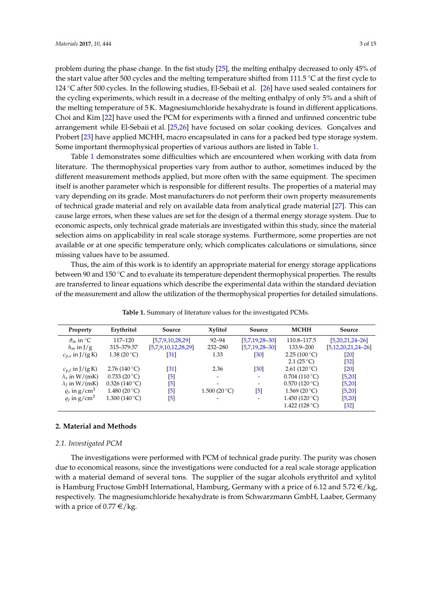problem during the phase change. In the fist study [\[25\]](#page-14-6), the melting enthalpy decreased to only 45% of the start value after 500 cycles and the melting temperature shifted from 111.5 ◦C at the first cycle to 124 ◦C after 500 cycles. In the following studies, El-Sebaii et al. [\[26\]](#page-14-7) have used sealed containers for the cycling experiments, which result in a decrease of the melting enthalpy of only 5% and a shift of the melting temperature of 5 K. Magnesiumchloride hexahydrate is found in different applications. Choi and Kim [\[22\]](#page-14-3) have used the PCM for experiments with a finned and unfinned concentric tube arrangement while El-Sebaii et al. [\[25,](#page-14-6)[26\]](#page-14-7) have focused on solar cooking devices. Gonçalves and Probert [\[23\]](#page-14-4) have applied MCHH, macro encapsulated in cans for a packed bed type storage system. Some important thermophysical properties of various authors are listed in Table [1.](#page-2-0)

Table [1](#page-2-0) demonstrates some difficulties which are encountered when working with data from literature. The thermophysical properties vary from author to author, sometimes induced by the different measurement methods applied, but more often with the same equipment. The specimen itself is another parameter which is responsible for different results. The properties of a material may vary depending on its grade. Most manufacturers do not perform their own property measurements of technical grade material and rely on available data from analytical grade material [\[27\]](#page-14-8). This can cause large errors, when these values are set for the design of a thermal energy storage system. Due to economic aspects, only technical grade materials are investigated within this study, since the material selection aims on applicability in real scale storage systems. Furthermore, some properties are not available or at one specific temperature only, which complicates calculations or simulations, since missing values have to be assumed.

Thus, the aim of this work is to identify an appropriate material for energy storage applications between 90 and 150 ℃ and to evaluate its temperature dependent thermophysical properties. The results are transferred to linear equations which describe the experimental data within the standard deviation of the measurement and allow the utilization of the thermophysical properties for detailed simulations.

<span id="page-2-0"></span>

| Erythritol            | Source                                                                                                                                                       | Xylitol       | Source                   | <b>MCHH</b>         | Source                     |
|-----------------------|--------------------------------------------------------------------------------------------------------------------------------------------------------------|---------------|--------------------------|---------------------|----------------------------|
| 117–120               | [5,7,9,10,28,29]                                                                                                                                             | $92 - 94$     | $[5,7,19,28-30]$         | 110.8-117.5         | $[5,20,21,24-26]$          |
| 315-379.57            | [5,7,9,10,12,28,29]                                                                                                                                          | 232-280       | $[5,7,19,28-30]$         | 133.9–200           | $[5, 12, 20, 21, 24 - 26]$ |
| 1.38 (20 °C)          | $\left[31\right]$                                                                                                                                            | 1.33          | [30]                     | 2.25 (100 °C)       | [20]                       |
|                       |                                                                                                                                                              |               |                          | 2.1 $(25^{\circ}C)$ | $[32]$                     |
| 2.76 (140 °C)         | $\left[31\right]$                                                                                                                                            | 2.36          | [30]                     | 2.61 (120 °C)       | $\lceil 20 \rceil$         |
| $0.733(20\degree C)$  | [5]                                                                                                                                                          |               | $\overline{\phantom{a}}$ | 0.704(110 °C)       | [5,20]                     |
| $0.326(140\degree C)$ | $[5] % \includegraphics[width=0.9\columnwidth]{figures/fig_10.pdf} \caption{Schematic diagram of the top of the top of the top of the right.} \label{fig:2}$ |               | $\overline{\phantom{a}}$ | 0.570(120 °C)       | [5,20]                     |
| 1.480 (20 °C)         | [5]                                                                                                                                                          | 1.500 (20 °C) | $[5]$                    | 1.569 (20 °C)       | [5,20]                     |
| 1.300 (140 °C)        | [5]                                                                                                                                                          |               | $\overline{\phantom{a}}$ | 1.450 $(120 °C)$    | [5,20]                     |
|                       |                                                                                                                                                              |               |                          | 1.422 $(128 °C)$    | $[32]$                     |
|                       |                                                                                                                                                              |               |                          |                     |                            |

**Table 1.** Summary of literature values for the investigated PCMs.

# **2. Material and Methods**

# *2.1. Investigated PCM*

The investigations were performed with PCM of technical grade purity. The purity was chosen due to economical reasons, since the investigations were conducted for a real scale storage application with a material demand of several tons. The supplier of the sugar alcohols erythritol and xylitol is Hamburg Fructose GmbH International, Hamburg, Germany with a price of 6.12 and 5.72  $\epsilon$ /kg, respectively. The magnesiumchloride hexahydrate is from Schwarzmann GmbH, Laaber, Germany with a price of  $0.77 \in \ell$ <sub>kg</sub>.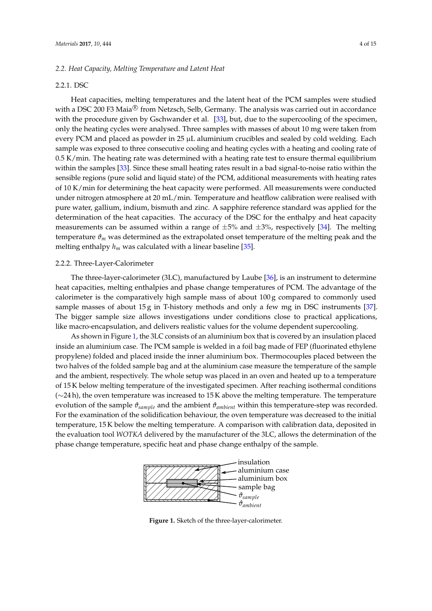# <span id="page-3-1"></span>*2.2. Heat Capacity, Melting Temperature and Latent Heat*

# 2.2.1. DSC

Heat capacities, melting temperatures and the latent heat of the PCM samples were studied with a DSC 200 F3 Maia $^{\textrm{\textregistered}}$  from Netzsch, Selb, Germany. The analysis was carried out in accordance with the procedure given by Gschwander et al. [\[33\]](#page-14-14), but, due to the supercooling of the specimen, only the heating cycles were analysed. Three samples with masses of about 10 mg were taken from every PCM and placed as powder in 25 µL aluminium crucibles and sealed by cold welding. Each sample was exposed to three consecutive cooling and heating cycles with a heating and cooling rate of 0.5 K/min. The heating rate was determined with a heating rate test to ensure thermal equilibrium within the samples [\[33\]](#page-14-14). Since these small heating rates result in a bad signal-to-noise ratio within the sensible regions (pure solid and liquid state) of the PCM, additional measurements with heating rates of 10 K/min for determining the heat capacity were performed. All measurements were conducted under nitrogen atmosphere at 20 mL/min. Temperature and heatflow calibration were realised with pure water, gallium, indium, bismuth and zinc. A sapphire reference standard was applied for the determination of the heat capacities. The accuracy of the DSC for the enthalpy and heat capacity measurements can be assumed within a range of  $\pm 5\%$  and  $\pm 3\%$ , respectively [\[34\]](#page-14-15). The melting temperature *ϑ<sup>m</sup>* was determined as the extrapolated onset temperature of the melting peak and the melting enthalpy  $h_m$  was calculated with a linear baseline [\[35\]](#page-14-16).

#### 2.2.2. Three-Layer-Calorimeter

The three-layer-calorimeter (3LC), manufactured by Laube [\[36\]](#page-14-17), is an instrument to determine heat capacities, melting enthalpies and phase change temperatures of PCM. The advantage of the calorimeter is the comparatively high sample mass of about 100 g compared to commonly used sample masses of about  $15g$  in T-history methods and only a few mg in DSC instruments [\[37\]](#page-14-18). The bigger sample size allows investigations under conditions close to practical applications, like macro-encapsulation, and delivers realistic values for the volume dependent supercooling.

As shown in Figure [1,](#page-3-0) the 3LC consists of an aluminium box that is covered by an insulation placed inside an aluminium case. The PCM sample is welded in a foil bag made of FEP (fluorinated ethylene propylene) folded and placed inside the inner aluminium box. Thermocouples placed between the two halves of the folded sample bag and at the aluminium case measure the temperature of the sample and the ambient, respectively. The whole setup was placed in an oven and heated up to a temperature and the ambient, respectively. The whole setup was placed in an oven and heated up to a temperature of 15 K below melting temperature of the investigated specimen. After reaching isothermal conditions  $(\sim 24 \text{ h})$ , the oven temperature was increased to 15 K above the melting temperature. The temperature evolution of the sample  $\vartheta_{sample}$  and the ambient  $\vartheta_{ambient}$  within this temperature-step was recorded. For the examination of the solidification behaviour, the oven temperature was decreased to the initial temperature, 15 K below the melting temperature. A comparison with calibration data, deposited in the evaluation tool *WOTKA* delivered by the manufacturer of the 3LC, allows the determination of the phase change temperature, specific heat and phase change enthalpy of the sample.  $\frac{1}{2}$  cratter of the investigated specifical tracturity. de la semperature lichia conditions

<span id="page-3-0"></span>

Figure 1. Sketch of the three-layer-calorimeter.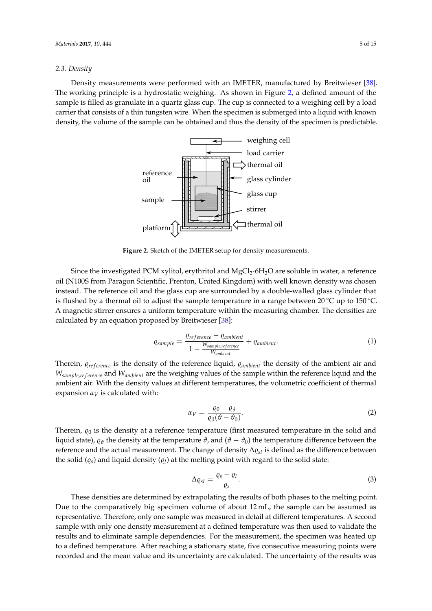# *2.3. Density*

<span id="page-4-0"></span>Density measurements were performed with an IMETER, manufactured by Breitwieser [\[38\]](#page-14-19). The working principle is a hydrostatic weighing. As shown in Figure [2,](#page-4-0) a defined amount of the sample is filled as granulate in a quartz glass cup. The cup is connected to a weighing cell by a load carrier that consists of a thin tungsten wire. When the specimen is submerged into a liquid with known density, the volume of the sample can be obtained and thus the density of the specimen is predictable. density of the specimen is predictable.  $\frac{1}{2}$  a thy divident weightly. The shown in Figure 2,  $\frac{1}{2}$  and  $\frac{1}{2}$  and  $\frac{1}{2}$  and  $\frac{1}{2}$  and  $\frac{1}{2}$  and  $\frac{1}{2}$  and  $\frac{1}{2}$  and  $\frac{1}{2}$  and  $\frac{1}{2}$  and  $\frac{1}{2}$  and  $\frac{1}{2}$  and  $\frac{1}{2}$  and  $\frac{1}{2}$  and  $\frac{1}{2}$  and  $\frac{1}{2}$  and  $\frac{1}{2}$  a emea anounce of the



Figure 2. Sketch of the IMETER setup for density measurements. uncertainty of the results was calculated from the

oil (N100S from Paragon Scientific, Prenton, United Kingdom) with well known density was chosen and the glass cup are surrounded by a double-with and the glass cup are surrounded by a double-with instead. The reference oil and the glass cup are surrounded by a double-walled glass cylinder that<br>in the class cup are surrounded by a double-walled glass cylinder that is flushed by a thermal oil to adjust the sample temperature in a range between 20 °C up to 150 °C. A magnetic stirrer ensures a uniform temperature within the measuring chamber. The densities are calculated by an equation proposed by Breitwieser [\[38\]](#page-14-19): Since the investigated PCM xylitol, erythritol and MgCl<sub>2</sub>·6H<sub>2</sub>O are soluble in water, a reference

$$
\varrho_{sample} = \frac{\varrho_{reference} - \varrho_{ambient}}{1 - \frac{W_{sample,reference}}{W_{ambient}}} + \varrho_{ambient}.
$$
\n(1)

Therein,  $\mathcal{Q}_{reference}$  is the density of the reference liquid,  $\mathcal{Q}_{ambient}$  the density of the ambient air and *W*<sub>sample,*reference* and *W<sub>ambient</sub>* are the weighing values of the sample within the reference liquid and the</sub> ambient air. With the density values at different temperatures, the volumetric coefficient of thermal expansion  $\alpha_V$  is calculated with:

<span id="page-4-1"></span>
$$
\alpha_V = \frac{\varrho_0 - \varrho_\vartheta}{\varrho_0(\vartheta - \vartheta_0)}.\tag{2}
$$

Therein,  $\rho_0$  is the density at a reference temperature (first measured temperature in the solid and liquid state),  $\rho_{\theta}$  the density at the temperature  $\vartheta$ , and ( $\vartheta - \vartheta_0$ ) the temperature difference between the reference and the actual measurement. The change of density  $\Delta \varrho_{sl}$  is defined as the difference between the solid  $(\varrho_s)$  and liquid density  $(\varrho_l)$  at the melting point with regard to the solid state:

<span id="page-4-2"></span>
$$
\Delta \varrho_{sl} = \frac{\varrho_s - \varrho_l}{\varrho_s}.\tag{3}
$$

These densities are determined by extrapolating the results of both phases to the melting point. Due to the comparatively big specimen volume of about 12 mL, the sample can be assumed as representative. Therefore, only one sample was measured in detail at different temperatures. A second sample with only one density measurement at a defined temperature was then used to validate the results and to eliminate sample dependencies. For the measurement, the specimen was heated up to a defined temperature. After reaching a stationary state, five consecutive measuring points were recorded and the mean value and its uncertainty are calculated. The uncertainty of the results was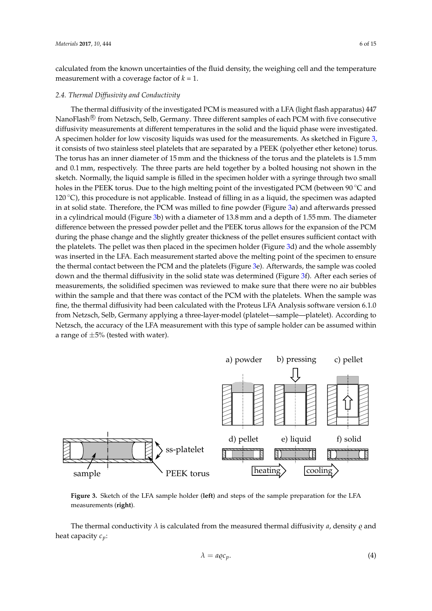calculated from the known uncertainties of the fluid density, the weighing cell and the temperature measurement with a coverage factor of  $k = 1$ .

# *2.4. Thermal Diffusivity and Conductivity*

The thermal diffusivity of the investigated PCM is measured with a LFA (light flash apparatus) 447 NanoFlash $^{\circledR}$  from Netzsch, Selb, Germany. Three different samples of each PCM with five consecutive diffusivity measurements at different temperatures in the solid and the liquid phase were investigated. A specimen holder for low viscosity liquids was used for the measurements. As sketched in Figure [3,](#page-5-0) it consists of two stainless steel platelets that are separated by a PEEK (polyether ether ketone) torus. The torus has an inner diameter of 15 mm and the thickness of the torus and the platelets is 1.5 mm and 0.1 mm, respectively. The three parts are held together by a bolted housing not shown in the sketch. Normally, the liquid sample is filled in the specimen holder with a syringe through two small holes in the PEEK torus. Due to the high melting point of the investigated PCM (between 90 °C and 120 ℃), this procedure is not applicable. Instead of filling in as a liquid, the specimen was adapted in at solid state. Therefore, the PCM was milled to fine powder (Figure [3a](#page-5-0)) and afterwards pressed in a cylindrical mould (Figure [3b](#page-5-0)) with a diameter of 13.8 mm and a depth of 1.55 mm. The diameter difference between the pressed powder pellet and the PEEK torus allows for the expansion of the PCM during the phase change and the slightly greater thickness of the pellet ensures sufficient contact with the platelets. The pellet was then placed in the specimen holder (Figure [3d](#page-5-0)) and the whole assembly was inserted in the LFA. Each measurement started above the melting point of the specimen to ensure the thermal contact between the PCM and the platelets (Figure [3e](#page-5-0)). Afterwards, the sample was cooled down and the thermal diffusivity in the solid state was determined (Figure [3f](#page-5-0)). After each series of<br>moscurements, the solidified specimen was reviewed to make sure that there were no air bubbles measurements, the solidified specimen was reviewed to make sure that there were no air bubbles within the sample and that there was contact of the PCM with the platelets. When the sample was fine, the thermal diffusivity had been calculated with the Proteus LFA Analysis software version 6.1.0 from Netzsch, Selb, Germany applying a three-layer-model (platelet—sample—platelet). According to Netzsch, the accuracy of the LFA measurement with this type of sample holder can be assumed within a range of  $\pm 5\%$  (tested with water). Thermophysical properties of selected PCM for waste heat transportation • August 2016

<span id="page-5-0"></span>

**Figure 2:** *Sketch of the LFA sample holder.* **Figure 3:** *Steps of the sample preparation for the LFA measure-***Figure 3.** Sketch of the LFA sample holder (**left**) and steps of the sample preparation for the LFA measurements (**right**).

The thermal conductivity  $\lambda$  is calculated from the measured thermal diffusivity *a*, density  $\rho$  and  $\frac{1}{\pi}$  heat capacity  $c_p$ :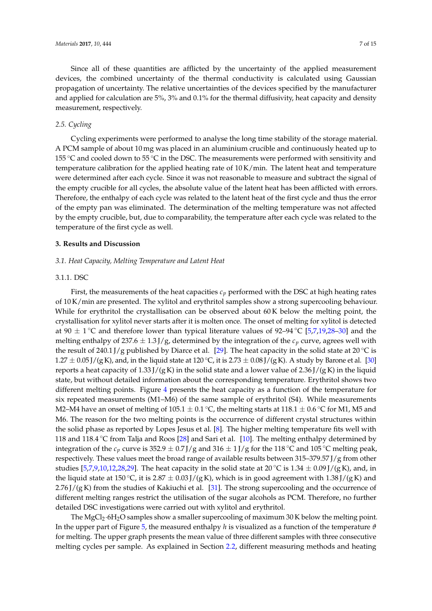Since all of these quantities are afflicted by the uncertainty of the applied measurement devices, the combined uncertainty of the thermal conductivity is calculated using Gaussian propagation of uncertainty. The relative uncertainties of the devices specified by the manufacturer and applied for calculation are 5%, 3% and 0.1% for the thermal diffusivity, heat capacity and density measurement, respectively.

# *2.5. Cycling*

Cycling experiments were performed to analyse the long time stability of the storage material. A PCM sample of about 10 mg was placed in an aluminium crucible and continuously heated up to 155  $\degree$ C and cooled down to 55  $\degree$ C in the DSC. The measurements were performed with sensitivity and temperature calibration for the applied heating rate of 10 K/min. The latent heat and temperature were determined after each cycle. Since it was not reasonable to measure and subtract the signal of the empty crucible for all cycles, the absolute value of the latent heat has been afflicted with errors. Therefore, the enthalpy of each cycle was related to the latent heat of the first cycle and thus the error of the empty pan was eliminated. The determination of the melting temperature was not affected by the empty crucible, but, due to comparability, the temperature after each cycle was related to the temperature of the first cycle as well.

# **3. Results and Discussion**

# *3.1. Heat Capacity, Melting Temperature and Latent Heat*

#### 3.1.1. DSC

First, the measurements of the heat capacities  $c_p$  performed with the DSC at high heating rates of 10 K/min are presented. The xylitol and erythritol samples show a strong supercooling behaviour. While for erythritol the crystallisation can be observed about 60 K below the melting point, the crystallisation for xylitol never starts after it is molten once. The onset of melting for xylitol is detected at 90  $\pm$  1 °C and therefore lower than typical literature values of 92–94 °C [\[5,](#page-13-4)[7,](#page-13-6)[19,](#page-14-0)[28–](#page-14-9)[30\]](#page-14-11) and the melting enthalpy of  $237.6 \pm 1.3$  J/g, determined by the integration of the  $c<sub>p</sub>$  curve, agrees well with the result of 240.1 J/g published by Diarce et al. [\[29\]](#page-14-10). The heat capacity in the solid state at 20  $\degree$ C is  $1.27 \pm 0.05$  J/(g K), and, in the liquid state at 120 °C, it is 2.73  $\pm$  0.08 J/(g K). A study by Barone et al. [\[30\]](#page-14-11) reports a heat capacity of  $1.33$  J/(g K) in the solid state and a lower value of  $2.36$  J/(g K) in the liquid state, but without detailed information about the corresponding temperature. Erythritol shows two different melting points. Figure [4](#page-7-0) presents the heat capacity as a function of the temperature for six repeated measurements (M1–M6) of the same sample of erythritol (S4). While measurements M2–M4 have an onset of melting of  $105.1 \pm 0.1$  °C, the melting starts at  $118.1 \pm 0.6$  °C for M1, M5 and M6. The reason for the two melting points is the occurrence of different crystal structures within the solid phase as reported by Lopes Jesus et al. [\[8\]](#page-13-7). The higher melting temperature fits well with 118 and 118.4  $\degree$ C from Talja and Roos [\[28\]](#page-14-9) and Sari et al. [\[10\]](#page-13-9). The melting enthalpy determined by integration of the  $c_p$  curve is 352.9  $\pm$  0.7 J/g and 316  $\pm$  1 J/g for the 118 °C and 105 °C melting peak, respectively. These values meet the broad range of available results between 315–379.57 J/g from other studies [\[5](#page-13-4)[,7](#page-13-6)[,9](#page-13-8)[,10](#page-13-9)[,12](#page-13-11)[,28](#page-14-9)[,29\]](#page-14-10). The heat capacity in the solid state at 20 °C is 1.34  $\pm$  0.09 J/(g K), and, in the liquid state at 150 °C, it is 2.87  $\pm$  0.03 J/(g K), which is in good agreement with 1.38 J/(g K) and  $2.76$  J/(g K) from the studies of Kakiuchi et al. [\[31\]](#page-14-12). The strong supercooling and the occurrence of different melting ranges restrict the utilisation of the sugar alcohols as PCM. Therefore, no further detailed DSC investigations were carried out with xylitol and erythritol.

The MgCl<sub>2</sub>·6H<sub>2</sub>O samples show a smaller supercooling of maximum 30 K below the melting point. In the upper part of Figure [5,](#page-7-1) the measured enthalpy *h* is visualized as a function of the temperature *ϑ* for melting. The upper graph presents the mean value of three different samples with three consecutive melting cycles per sample. As explained in Section [2.2,](#page-3-1) different measuring methods and heating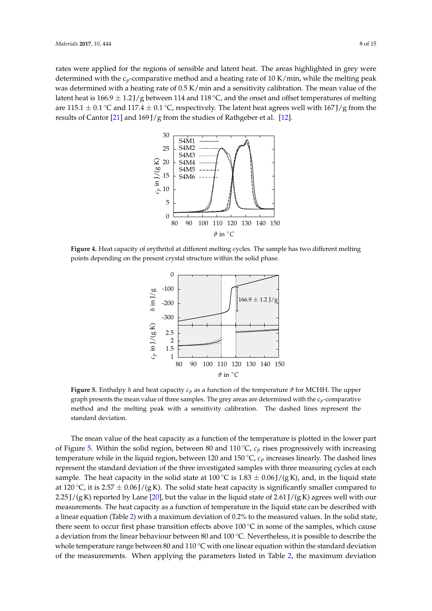rates were applied for the regions of sensible and latent heat. The areas highlighted in grey were determined with the c<sub>p</sub>-comparative method and a heating rate of 10 K/min, while the melting peak was determined with a heating rate of  $0.5$  K/min and a sensitivity calibration. The mean value of the latent heat is  $166.9 \pm 1.2$  J/g between 114 and 118 °C, and the onset and offset temperatures of melting are  $115.1\pm0.1$  °C and  $117.4\pm0.1$  °C, respectively. The latent heat agrees well with  $167$  J/g from the results of Cantor [\[21\]](#page-14-2) and 169 J/g from the studies of Rathgeber et al. [\[12\]](#page-13-11).  $\alpha$  determined with the  $\epsilon_p$ o<br>respective method red a besting ushe of 10 K (m paraire memorand a nealing rate of 10 K/m  $2.76$  bind studies of Kakiuchi et al.  $31$ 

<span id="page-7-0"></span>

<span id="page-7-1"></span> $\mathbf{F}_i$  and  $\mathbf{F}_i$  Heat capacity of erythritol at different melting cycles. The sample h points depending on the present crystal structure within the solid phase. Figure 4. Heat capacity of erythritol at different melting cycles. The sample has two different melting resent et y star structure  $\frac{1}{\sigma}$ 



graph presents the mean value of three samples. The grey areas are determined with the  $c_p$ -comparative **Figure 6:** *Enthalpy h and heat capacity cp as a function of the* Figure 5. Enthalpy h and heat capacity  $c_p$  as a function of the temperature  $\vartheta$  for MCHH. The upper method and the melting peak with a sensitivity calibration. The dashed lines represent the *the melting peak with a sensitivity calibration. The* cles of the DSC investigations. The DSC investigations. The crystallisation of the crystallisation of the crystallisation of the crystallisation of the crystallisation of the crystallisation of the crystallisation of the c standard deviation.

The mean value of the heat capacity as a function of the temperature is plotted in the lower part of Figure [5.](#page-7-1) Within the solid region, between 80 and 110 °C,  $c_p$  rises progressively with increasing temperature while in the liquid region, between 120 and 150 ℃, *c*<sub>*p*</sub> increases linearly. The dashed lines represent the standard deviation of the three investigated samples with three measuring cycles at each  $t = 111 + 1740000, 140000, 00000$ 1 die sond state at 100 °C is 1.00  $\pm$  0.00 J/ (g K) at 120 °C, it is 2.57  $\pm$  0.06 J/(g K). The solid state heat capacity is significantly smaller compared to 2.25 J/(g K) reported by Lane [\[20\]](#page-14-1), but the value in the liquid state of 2.61 J/(g K) agrees well with our measurements. The heat capacity as a function of temperature in the liquid state can be described with a linear equation (Table [2\)](#page-8-0) with a maximum deviation of 0.2% to the measured values. In the solid state, state at  $\frac{1}{2}$  is  $\frac{1}{2}$  is  $\frac{1}{2}$ . The solid measurement of the solid  $\frac{1}{2}$ .  $\frac{1}{2}$  is the matrix of compared compared compared compared compared compared compared compared compared compared compared compared compared compared compared compared compared compared compared compared compared compa a deviation from the linear behaviour between 80 and 100 °C. Nevertheless, it is possible to describe the whole temperature range between 80 and 110 °C with one linear equation within the standard deviation of the measurements. When applying the parameters listed in Table [2,](#page-8-0) the maximum deviation  $T_{\rm eff} = 115.8 \pm 1.8 \times 10^{-10}$ sample. The heat capacity in the solid state at 100 °C is 1.83  $\pm$  0.06 J/(g K), and, in the liquid state  $r = 1.1 \pm 1.5$ there seem to occur first phase transition effects above 100 °C in some of the samples, which cause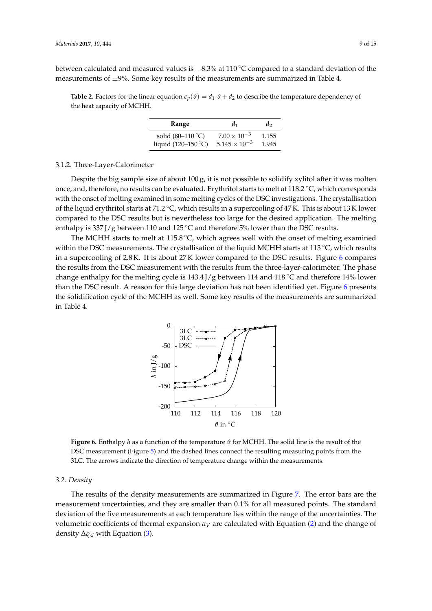between calculated and measured values is −8.3% at 110 ◦C compared to a standard deviation of the measurements of  $\pm 9\%$ . Some key results of the measurements are summarized in Table 4.

<span id="page-8-0"></span>**Table 2.** Factors for the linear equation  $c_p(\theta) = d_1 \cdot \theta + d_2$  to describe the temperature dependency of the heat capacity of MCHH.

| Range                     | d1                     | d,    |
|---------------------------|------------------------|-------|
| solid $(80-110\degree C)$ | $7.00 \times 10^{-3}$  | 1.155 |
| liquid (120–150 °C)       | $5.145 \times 10^{-3}$ | 1.945 |

#### 3.1.2. Three-Layer-Calorimeter

Despite the big sample size of about 100 g, it is not possible to solidify xylitol after it was molten once, and, therefore, no results can be evaluated. Erythritol starts to melt at 118.2 ◦C, which corresponds with the onset of melting examined in some melting cycles of the DSC investigations. The crystallisation of the liquid erythritol starts at 71.2 ◦C, which results in a supercooling of 47 K. This is about 13 K lower compared to the DSC results but is nevertheless too large for the desired application. The melting enthalpy is 337 J/g between 110 and 125 °C and therefore 5% lower than the DSC results.

<span id="page-8-1"></span>The MCHH starts to melt at 115.8  $°C$ , which agrees well with the onset of melting examined within the DSC measurements. The crystallisation of the liquid MCHH starts at 113 ◦C, which results in a supercooling of 2.8 K. It is about 27 K lower compared to the DSC results. Figure [6](#page-8-1) compares the results from the DSC measurement with the results from the three-layer-calorimeter. The phase change enthalpy for the melting cycle is 143.4 J/g between 114 and 118 ◦C and therefore 14% lower than the DSC result. A reason for this large deviation has not been identified yet. Figure [6](#page-8-1) presents the solidification cycle of the MCHH as well. Some key results of the measurements are summarized in Table 4.



**Figure 7:** *Enthalpy h as a function of the temperature ϑ for* Figure 6. Enthalpy  $h$  as a function of the temperature  $\vartheta$  for MCHH. The solid line is the result of the DSC measurement (Figure [5\)](#page-7-1) and the dashed lines connect the resulting measuring points from the *resulting measuring points from the 3LC. The arrows indicate the direction of temperature change within* 3LC. The arrows indicate the direction of temperature change within the measurements.

# *3.2. Density*

measurement uncertainties, and they are smaller than 0.1% for all measured points. The standard deviation of the five measurements at each temperature lies within the range of the uncertainties. The volumetric coefficients of thermal expansion *αV* are calculated with Equation [\(2\)](#page-4-1) and the change of  $\left( 3 \right)$ samples and five shots at each temperature. The  $\alpha$ The results of the density measurements are summarized in Figure [7.](#page-9-0) The error bars are the density  $\Delta \varrho_{sl}$  with Equation [\(3\)](#page-4-2).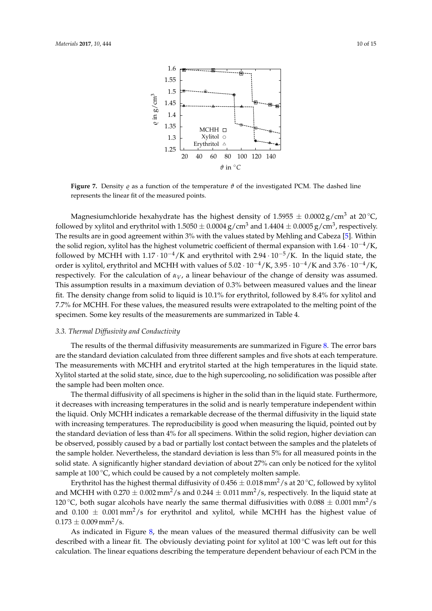<span id="page-9-0"></span>

**Figure 7.** Density *ę* as a function of the temperature *θ* of the investigated PCM. The dashed line *linear fit of the measured points.* represents the linear fit of the measured points.

 $m$ duste hee the highest depeits of 1 FOEE difful die 1.5955 ± 0.0004 g/cm<sup>3</sup> and 1.4404 ± 0.0004 g/cm<sup>3</sup> and 1.4404 ± 0. followed by xylitol and erythritol with  $1.5050 \pm 0.0004$  g/cm<sup>3</sup> and  $1.4404 \pm 0.0005$  g/cm<sup>3</sup>, respectively. The results are in good agreement within 3% with the values stated by Mehling and Cabeza [\[5\]](#page-13-4). Within the solid region, xylitol has the highest volumetric coefficient of thermal expansion with  $1.64 \cdot 10^{-4}/K$ , Magnesiumchloride hexahydrate has the highest density of  $1.5955 \pm 0.0002 \text{ g/cm}^3$  at 20 °C, followed by MCHH with  $1.17 \cdot 10^{-4}$ /K and erythritol with  $2.94 \cdot 10^{-5}$ /K. In the liquid state, the order is xylitol, erythritol and MCHH with values of  $5.02 \cdot 10^{-4}$ /K,  $3.95 \cdot 10^{-4}$ /K and  $3.76 \cdot 10^{-4}$ /K, respectively. For the calculation of *αV*, a linear behaviour of the change of density was assumed. This assumption results in a maximum deviation of 0.3% between measured values and the linear fit. The density change from solid to liquid is 10.1% for erythritol, followed by 8.4% for xylitol and 7.7% for MCHH. For these values, the measured results were extrapolated to the melting point of the specimen. Some key results of the measurements are summarized in Table 4.

# *3.3. Thermal Diffusivity and Conductivity*

The results of the thermal diffusivity measurements are summarized in Figure [8.](#page-10-0) The error bars are the standard deviation calculated from three different samples and five shots at each temperature. The measurements with MCHH and erytritol started at the high temperatures in the liquid state. Xylitol started at the solid state, since, due to the high supercooling, no solidification was possible after the sample had been molten once.

The thermal diffusivity of all specimens is higher in the solid than in the liquid state. Furthermore, it decreases with increasing temperatures in the solid and is nearly temperature independent within the liquid. Only MCHH indicates a remarkable decrease of the thermal diffusivity in the liquid state with increasing temperatures. The reproducibility is good when measuring the liquid, pointed out by the standard deviation of less than 4% for all specimens. Within the solid region, higher deviation can be observed, possibly caused by a bad or partially lost contact between the samples and the platelets of the sample holder. Nevertheless, the standard deviation is less than 5% for all measured points in the solid state. A significantly higher standard deviation of about 27% can only be noticed for the xylitol sample at 100 $\degree$ C, which could be caused by a not completely molten sample.

Erythritol has the highest thermal diffusivity of  $0.456 \pm 0.018$  mm<sup>2</sup>/s at 20 °C, followed by xylitol and MCHH with 0.270  $\pm$  0.002 mm<sup>2</sup>/s and 0.244  $\pm$  0.011 mm<sup>2</sup>/s, respectively. In the liquid state at 120 °C, both sugar alcohols have nearly the same thermal diffusivities with  $0.088 \pm 0.001$  mm<sup>2</sup>/s and  $0.100 \pm 0.001$  mm<sup>2</sup>/s for erythritol and xylitol, while MCHH has the highest value of  $0.173 \pm 0.009$  mm<sup>2</sup>/s.

As indicated in Figure [8,](#page-10-0) the mean values of the measured thermal diffusivity can be well described with a linear fit. The obviously deviating point for xylitol at 100 ℃ was left out for this calculation. The linear equations describing the temperature dependent behaviour of each PCM in the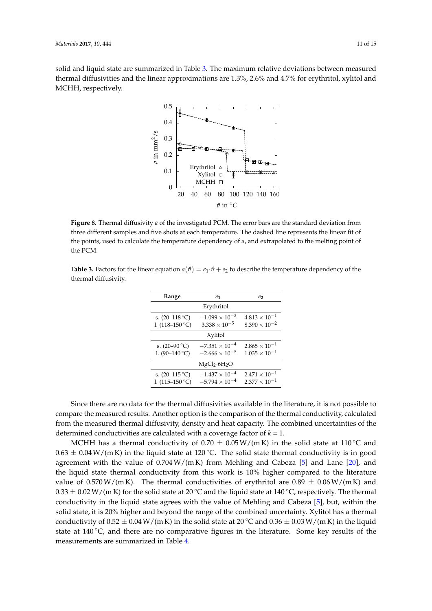<span id="page-10-0"></span>solid and liquid state are summarized in Table [3.](#page-10-1) The maximum relative deviations between measured thermal diffusivities and the linear approximations are 1.3%, 2.6% and 4.7% for erythritol, xylitol and MCHH, respectively.



**Figure 7:** *Enthalpy h as a function of the temperature ϑ for MCHH. The solid line is the result of the DSC mea*three different samples and five shots at each temperature. The dashed line represents the linear fit of the points, used to calculate the temperature dependency of  $\theta$  and extrapolated *indicate the direction of temperature change within* the PCM. *error bars are the standard deviation from three dif-***Figure 8.** Thermal diffusivity *a* of the investigated PCM. The error bars are the standard deviation from the points, used to calculate the temperature dependency of *a*, and extrapolated to the melting point of

<span id="page-10-1"></span>**3.2 Thermal diffusivity Table 3.** Factors for the linear equation  $a(\theta) = e_1 \cdot \theta + e_2$  to describe the temperature dependency of the thermal diffusivity.

| Range                                             | e <sub>1</sub>                                     | ez                                               |
|---------------------------------------------------|----------------------------------------------------|--------------------------------------------------|
|                                                   | Erythritol                                         |                                                  |
| s. $(20-118\degree C)$<br>1. $(118-150\degree C)$ | $-1.099 \times 10^{-3}$<br>$3.338 \times 10^{-5}$  | $4.813 \times 10^{-1}$<br>$8.390 \times 10^{-2}$ |
|                                                   | Xylitol                                            |                                                  |
| s. $(20-90 °C)$<br>1. $(90-140$ °C)               | $-7.351 \times 10^{-4}$<br>$-2.666 \times 10^{-5}$ | $2.865 \times 10^{-1}$<br>$1.035 \times 10^{-1}$ |
|                                                   | MgCl <sub>2</sub> ·6H <sub>2</sub> O               |                                                  |
| s. $(20-115\degree C)$<br>1. $(115-150\degree C)$ | $-1.437 \times 10^{-4}$<br>$-5.794 \times 10^{-4}$ | $2.471 \times 10^{-1}$<br>$2.377 \times 10^{-1}$ |

Since there are no data for the thermal diffusivities available in the liter compare the measured results. Another option is the comparison of the thermal conductivity, calculated from the measured therm from the measured thermal diffusivity, density and heat capacity. The combined uncertainties of the determined conductivities are calculated with a coverage factor of  $k = 1$ . Since there are no data for the thermal diffusivities available in the literature, it is not possible to

ylitol at 100 °C was left out for this calculation. The 100 °C was left out for this calculation. The 100 °C was

MCHH has a thermal conductivity of  $0.70 \pm 0.05$  W/(mK) in the solid state at 110 °C and  $0.63 \pm 0.04$  W/(m K) in the liquid state at 120 °C. The solid state thermal conductivity is in good agreement with the value of  $0.704 W/(m K)$  from Mehling and Cabeza [\[5\]](#page-13-4) and Lane [\[20\]](#page-14-1), and the liquid state thermal conductivity from this work is 10% higher compared to the literature  $\frac{1}{1}$   $\frac{6.870 \text{ Hz}}{100 \text{ Hz}}$ value of  $0.370$  W/  $(\text{III N})$ .  $0.33 \pm 0.02$  W/(m K) for the solid state at 20 °C and the liquid state at 140 °C, respectively. The thermal conductivity in the liquid state agrees with the value of Mehling and Cabeza [\[5\]](#page-13-4), but, within the compare the measured results. And the measured results. And the measured results. Another option is the measured results. Another security is the measured results. Another security is the measured results. Another security value of  $0.570 \,\mathrm{W/(m\,K)}$ . The thermal conductivities of erythritol are  $0.89 \,\pm\, 0.06 \,\mathrm{W/(m\,K)}$  and solid state, it is 20% higher and beyond the range of the combined uncertainty. Xylitol has a thermal state at  $140^{\circ}$ C, and there are no comparative figures in the literature. Some key results of the conductivity of  $0.52 \pm 0.04$  W/(m K) in the solid state at 20 °C and  $0.36 \pm 0.03$  W/(m K) in the liquid measurements are summarized in Table [4.](#page-11-0)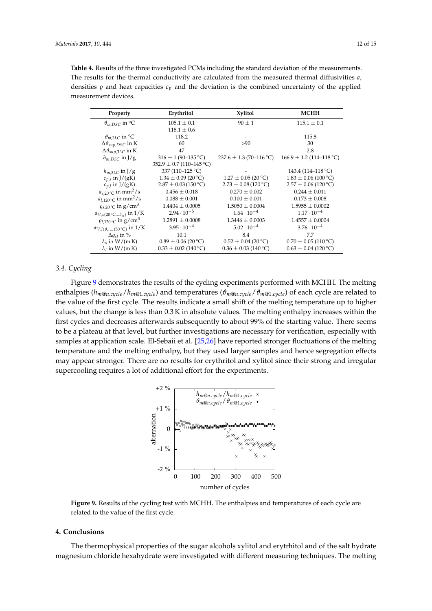<span id="page-11-0"></span>

| <b>Table 4.</b> Results of the three investigated PCMs including the standard deviation of the measurements. |
|--------------------------------------------------------------------------------------------------------------|
| The results for the thermal conductivity are calculated from the measured thermal diffusivities a,           |
| densities $\rho$ and heat capacities $c_p$ and the deviation is the combined uncertainty of the applied      |
| measurement devices.                                                                                         |

| Property                                                             | Erythritol                       | <b>Xylitol</b>              | <b>MCHH</b>                  |
|----------------------------------------------------------------------|----------------------------------|-----------------------------|------------------------------|
| $\vartheta_{m,DSC}$ in °C                                            | $105.1 \pm 0.1$                  | $90 \pm 1$                  | $115.1 \pm 0.1$              |
|                                                                      | $118.1 \pm 0.6$                  |                             |                              |
| $\vartheta_{m,3LC}$ in °C                                            | 118.2                            |                             | 115.8                        |
| $\Delta \vartheta_{sup, DSC}$ in K                                   | 60                               | >90                         | 30                           |
| $\Delta \vartheta_{sup,3LC}$ in K                                    | 47                               |                             | 2.8                          |
| $h_{m, DSC}$ in J/g                                                  | $316 \pm 1 (90 - 135 \degree C)$ | $237.6 \pm 1.3$ (70-116 °C) | $166.9 \pm 1.2$ (114–118 °C) |
|                                                                      | $352.9 \pm 0.7$ (110-145 °C)     |                             |                              |
| $h_{m,3LC}$ in J/g                                                   | 337 (110–125 °C)                 |                             | 143.4 (114–118 °C)           |
| $c_{p,s}$ in J/(gK)                                                  | $1.34 \pm 0.09$ (20 °C)          | $1.27 \pm 0.05$ (20 °C)     | $1.83 \pm 0.06$ (100 °C)     |
| $c_{n,l}$ in J/(gK)                                                  | $2.87 \pm 0.03$ (150 °C)         | $2.73 \pm 0.08$ (120 °C)    | $2.57 \pm 0.06$ (120 °C)     |
| $a_{s,20}$ c in mm <sup>2</sup> /s                                   | $0.456 \pm 0.018$                | $0.270 \pm 0.002$           | $0.244 \pm 0.011$            |
| $a_{l,120\degree\text{C}}$ in mm <sup>2</sup> /s                     | $0.088 \pm 0.001$                | $0.100 \pm 0.001$           | $0.173 \pm 0.008$            |
| $\varrho_{s,20}$ °C in g/cm <sup>3</sup>                             | $1.4404 \pm 0.0005$              | $1.5050 \pm 0.0004$         | $1.5955 \pm 0.0002$          |
| $\alpha_{V,s(20^{\circ}\text{C}\vartheta_{m})}$ in $1/\text{K}$      | $2.94 \cdot 10^{-5}$             | $1.64 \cdot 10^{-4}$        | $1.17 \cdot 10^{-4}$         |
| $q_{l,120}$ c in g/cm <sup>3</sup>                                   | $1.2891 \pm 0.0008$              | $1.3446 \pm 0.0003$         | $1.4557 \pm 0.0004$          |
| $\alpha_{V,l(\vartheta_m150\,{}^\circ\mathrm{C})}$ in $1/\mathrm{K}$ | $3.95 \cdot 10^{-4}$             | $5.02 \cdot 10^{-4}$        | $3.76 \cdot 10^{-4}$         |
| $\Delta \rho_{s}$ in %                                               | 10.1                             | 8.4                         | 7.7                          |
| $\lambda_s$ in W/(m K)                                               | $0.89 \pm 0.06$ (20 °C)          | $0.52 \pm 0.04$ (20 °C)     | $0.70 \pm 0.05$ (110 °C)     |
| $\lambda_1$ in W/(m K)                                               | $0.33 \pm 0.02$ (140 °C)         | $0.36 \pm 0.03$ (140 °C)    | $0.63 \pm 0.04$ (120 °C)     |

# *3.4. Cycling*

Figure [9](#page-11-1) demonstrates the results of the cycling experiments performed with MCHH. The melting enthalpies ( $h_{m@n.cycle}/h_{m@1.cycle}$ ) and temperatures ( $\vartheta_{m@n.cycle}/\vartheta_{m@1.cycle}$ ) of each cycle are related to the value of the first cycle. The results indicate a small shift of the melting temperature up to higher values, but the change is less than 0.3 K in absolute values. The melting enthalpy increases within the first cycles and decreases afterwards subsequently to about 99% of the starting value. There seems to be a plateau at that level, but further investigations are necessary for verification, especially with the value of the value of the value of the value of the value of the value of the value of the value of the value of samples at application scale. El-Sebaii et al. [\[25](#page-14-6)[,26\]](#page-14-7) have reported stronger fluctuations of the melting temperature and the melting enthalpy, but they used larger samples and hence segregation effects may appear stronger. There are no results for erythritol and xylitol since their strong and irregular supercooling requires a lot of additional effort for the experiments. co be a plateau at that level  $t_{\text{tot}}$  is the change is denoted in the change is less than 0.3  $\mu$ but further investigations are necessary for ve with samples at a strong and  $\mathbf{u}_\mathbf{T}$  .

<span id="page-11-1"></span>

rigure 9. Results of the related to the value of the first cycle. *thalpies and temperatures of each cycle are related* **Figure 9.** Results of the cycling test with MCHH. The enthalpies and temperatures of each cycle are *to the value of the first cycle.*

#### 4. **4. Conclusions**

stated by Mehler and Cabeza and Cabeza and Cabeza and Cabeza in the solid and Cabeza and Cabeza and Cabeza and Cabeza and Cabeza and Cabeza and Cabeza and Cabeza and Cabeza and Cabeza a magnesium chloride hexahydrate were investigated with different measuring techniques. The melting  $\overline{C}$ fluctuations of the melting temperature and the melt-The thermophysical properties of the sugar alcohols xylitol and erytrhitol and of the salt hydrate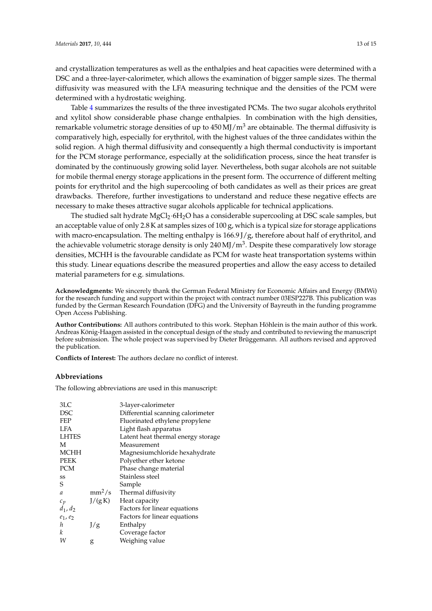and crystallization temperatures as well as the enthalpies and heat capacities were determined with a DSC and a three-layer-calorimeter, which allows the examination of bigger sample sizes. The thermal diffusivity was measured with the LFA measuring technique and the densities of the PCM were determined with a hydrostatic weighing.

Table [4](#page-11-0) summarizes the results of the three investigated PCMs. The two sugar alcohols erythritol and xylitol show considerable phase change enthalpies. In combination with the high densities, remarkable volumetric storage densities of up to  $450 \,\mathrm{MJ/m^3}$  are obtainable. The thermal diffusivity is comparatively high, especially for erythritol, with the highest values of the three candidates within the solid region. A high thermal diffusivity and consequently a high thermal conductivity is important for the PCM storage performance, especially at the solidification process, since the heat transfer is dominated by the continuously growing solid layer. Nevertheless, both sugar alcohols are not suitable for mobile thermal energy storage applications in the present form. The occurrence of different melting points for erythritol and the high supercooling of both candidates as well as their prices are great drawbacks. Therefore, further investigations to understand and reduce these negative effects are necessary to make theses attractive sugar alcohols applicable for technical applications.

The studied salt hydrate MgCl<sub>2</sub>·6H<sub>2</sub>O has a considerable supercooling at DSC scale samples, but an acceptable value of only 2.8 K at samples sizes of 100 g, which is a typical size for storage applications with macro-encapsulation. The melting enthalpy is  $166.9$   $\frac{1}{2}$ , therefore about half of erythritol, and the achievable volumetric storage density is only  $240$  MJ/m<sup>3</sup>. Despite these comparatively low storage densities, MCHH is the favourable candidate as PCM for waste heat transportation systems within this study. Linear equations describe the measured properties and allow the easy access to detailed material parameters for e.g. simulations.

**Acknowledgments:** We sincerely thank the German Federal Ministry for Economic Affairs and Energy (BMWi) for the research funding and support within the project with contract number 03ESP227B. This publication was funded by the German Research Foundation (DFG) and the University of Bayreuth in the funding programme Open Access Publishing.

**Author Contributions:** All authors contributed to this work. Stephan Höhlein is the main author of this work. Andreas König-Haagen assisted in the conceptual design of the study and contributed to reviewing the manuscript before submission. The whole project was supervised by Dieter Brüggemann. All authors revised and approved the publication.

**Conflicts of Interest:** The authors declare no conflict of interest.

# **Abbreviations**

The following abbreviations are used in this manuscript:

| 3LC           |          | 3-layer-calorimeter                |
|---------------|----------|------------------------------------|
| <b>DSC</b>    |          | Differential scanning calorimeter  |
| <b>FEP</b>    |          | Fluorinated ethylene propylene     |
| LFA           |          | Light flash apparatus              |
| <b>LHTES</b>  |          | Latent heat thermal energy storage |
| M             |          | Measurement                        |
| MCHH          |          | Magnesiumchloride hexahydrate      |
| <b>PEEK</b>   |          | Polyether ether ketone             |
| <b>PCM</b>    |          | Phase change material              |
| SS            |          | Stainless steel                    |
| S             |          | Sample                             |
| $\mathfrak a$ | $mm^2/s$ | Thermal diffusivity                |
| $c_p$         | J/(gK)   | Heat capacity                      |
| $d_1, d_2$    |          | Factors for linear equations       |
| $e_1, e_2$    |          | Factors for linear equations       |
| h             | J/g      | Enthalpy                           |
| k             |          | Coverage factor                    |
| W             | g        | Weighing value                     |
|               |          |                                    |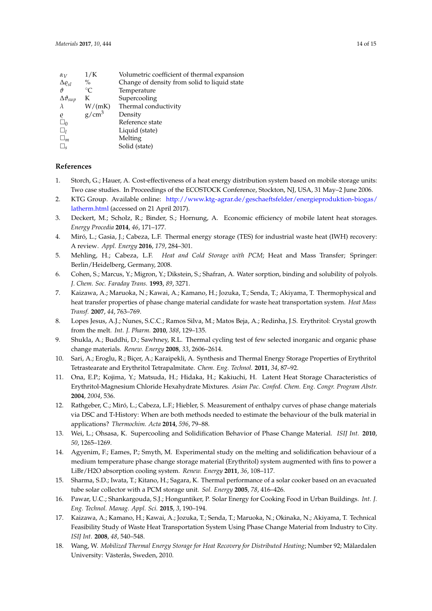| $\alpha_V$               | 1/K         | Volumetric coefficient of thermal expansion  |
|--------------------------|-------------|----------------------------------------------|
| $\Delta \varrho_{sl}$    | $\%$        | Change of density from solid to liquid state |
| 19                       | $^{\circ}C$ | Temperature                                  |
| $\Delta \vartheta_{sup}$ | K           | Supercooling                                 |
| $\lambda$                | W/(mK)      | Thermal conductivity                         |
| $\varrho$                | $g/cm^3$    | Density                                      |
| $\Box_0$                 |             | Reference state                              |
| $\Box$                   |             | Liquid (state)                               |
| $\sqcup_m$               |             | Melting                                      |
| $\sqcup_{\rm s}$         |             | Solid (state)                                |

# **References**

- <span id="page-13-0"></span>1. Storch, G.; Hauer, A. Cost-effectiveness of a heat energy distribution system based on mobile storage units: Two case studies. In Proceedings of the ECOSTOCK Conference, Stockton, NJ, USA, 31 May–2 June 2006.
- <span id="page-13-1"></span>2. KTG Group. Available online: [http://www.ktg-agrar.de/geschaeftsfelder/energieproduktion-biogas/](http://www.ktg-agrar.de/geschaeftsfelder/energieproduktion-biogas/latherm.html) [latherm.html](http://www.ktg-agrar.de/geschaeftsfelder/energieproduktion-biogas/latherm.html) (accessed on 21 April 2017).
- <span id="page-13-2"></span>3. Deckert, M.; Scholz, R.; Binder, S.; Hornung, A. Economic efficiency of mobile latent heat storages. *Energy Procedia* **2014**, *46*, 171–177.
- <span id="page-13-3"></span>4. Miró, L.; Gasia, J.; Cabeza, L.F. Thermal energy storage (TES) for industrial waste heat (IWH) recovery: A review. *Appl. Energy* **2016**, *179*, 284–301.
- <span id="page-13-4"></span>5. Mehling, H.; Cabeza, L.F. *Heat and Cold Storage with PCM*; Heat and Mass Transfer; Springer: Berlin/Heidelberg, Germany, 2008.
- <span id="page-13-5"></span>6. Cohen, S.; Marcus, Y.; Migron, Y.; Dikstein, S.; Shafran, A. Water sorption, binding and solubility of polyols. *J. Chem. Soc. Faraday Trans.* **1993**, *89*, 3271.
- <span id="page-13-6"></span>7. Kaizawa, A.; Maruoka, N.; Kawai, A.; Kamano, H.; Jozuka, T.; Senda, T.; Akiyama, T. Thermophysical and heat transfer properties of phase change material candidate for waste heat transportation system. *Heat Mass Transf.* **2007**, *44*, 763–769.
- <span id="page-13-7"></span>8. Lopes Jesus, A.J.; Nunes, S.C.C.; Ramos Silva, M.; Matos Beja, A.; Redinha, J.S. Erythritol: Crystal growth from the melt. *Int. J. Pharm.* **2010**, *388*, 129–135.
- <span id="page-13-8"></span>9. Shukla, A.; Buddhi, D.; Sawhney, R.L. Thermal cycling test of few selected inorganic and organic phase change materials. *Renew. Energy* **2008**, *33*, 2606–2614.
- <span id="page-13-9"></span>10. Sari, A.; Eroglu, R.; Biçer, A.; Karaipekli, A. Synthesis and Thermal Energy Storage Properties of Erythritol Tetrastearate and Erythritol Tetrapalmitate. *Chem. Eng. Technol.* **2011**, *34*, 87–92.
- <span id="page-13-10"></span>11. Ona, E.P.; Kojima, Y.; Matsuda, H.; Hidaka, H.; Kakiuchi, H. Latent Heat Storage Characteristics of Erythritol-Magnesium Chloride Hexahydrate Mixtures. *Asian Pac. Confed. Chem. Eng. Congr. Program Abstr.* **2004**, *2004*, 536.
- <span id="page-13-11"></span>12. Rathgeber, C.; Miró, L.; Cabeza, L.F.; Hiebler, S. Measurement of enthalpy curves of phase change materials via DSC and T-History: When are both methods needed to estimate the behaviour of the bulk material in applications? *Thermochim. Acta* **2014**, *596*, 79–88.
- <span id="page-13-12"></span>13. Wei, L.; Ohsasa, K. Supercooling and Solidification Behavior of Phase Change Material. *ISIJ Int.* **2010**, *50*, 1265–1269.
- <span id="page-13-13"></span>14. Agyenim, F.; Eames, P.; Smyth, M. Experimental study on the melting and solidification behaviour of a medium temperature phase change storage material (Erythritol) system augmented with fins to power a LiBr/H2O absorption cooling system. *Renew. Energy* **2011**, *36*, 108–117.
- <span id="page-13-14"></span>15. Sharma, S.D.; Iwata, T.; Kitano, H.; Sagara, K. Thermal performance of a solar cooker based on an evacuated tube solar collector with a PCM storage unit. *Sol. Energy* **2005**, *78*, 416–426.
- <span id="page-13-15"></span>16. Pawar, U.C.; Shankargouda, S.J.; Honguntiker, P. Solar Energy for Cooking Food in Urban Buildings. *Int. J. Eng. Technol. Manag. Appl. Sci.* **2015**, *3*, 190–194.
- <span id="page-13-16"></span>17. Kaizawa, A.; Kamano, H.; Kawai, A.; Jozuka, T.; Senda, T.; Maruoka, N.; Okinaka, N.; Akiyama, T. Technical Feasibility Study of Waste Heat Transportation System Using Phase Change Material from Industry to City. *ISIJ Int.* **2008**, *48*, 540–548.
- <span id="page-13-17"></span>18. Wang, W. *Mobilized Thermal Energy Storage for Heat Recovery for Distributed Heating*; Number 92; Mälardalen University: Västerås, Sweden, 2010.